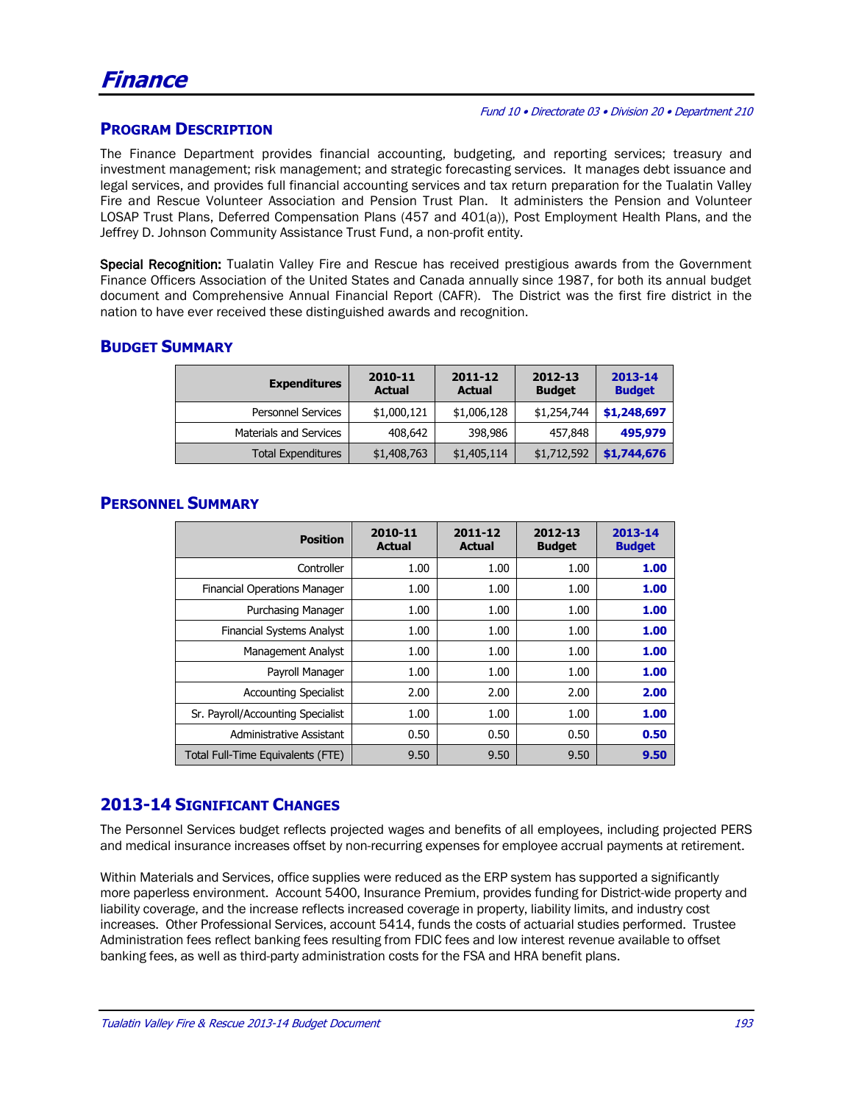#### **PROGRAM DESCRIPTION**

The Finance Department provides financial accounting, budgeting, and reporting services; treasury and investment management; risk management; and strategic forecasting services. It manages debt issuance and legal services, and provides full financial accounting services and tax return preparation for the Tualatin Valley Fire and Rescue Volunteer Association and Pension Trust Plan. It administers the Pension and Volunteer LOSAP Trust Plans, Deferred Compensation Plans (457 and 401(a)), Post Employment Health Plans, and the Jeffrey D. Johnson Community Assistance Trust Fund, a non-profit entity.

Special Recognition: Tualatin Valley Fire and Rescue has received prestigious awards from the Government Finance Officers Association of the United States and Canada annually since 1987, for both its annual budget document and Comprehensive Annual Financial Report (CAFR). The District was the first fire district in the nation to have ever received these distinguished awards and recognition.

#### **BUDGET SUMMARY**

| <b>Expenditures</b>           | 2010-11<br><b>Actual</b> | 2011-12<br><b>Actual</b> | 2012-13<br><b>Budget</b> | 2013-14<br><b>Budget</b> |
|-------------------------------|--------------------------|--------------------------|--------------------------|--------------------------|
| <b>Personnel Services</b>     | \$1,000,121              | \$1,006,128              | \$1,254,744              | \$1,248,697              |
| <b>Materials and Services</b> | 408,642                  | 398,986                  | 457.848                  | 495,979                  |
| Total Expenditures            | \$1,408,763              | \$1,405,114              | \$1,712,592              | \$1,744,676              |

| <b>Position</b>                     | 2010-11<br><b>Actual</b> | 2011-12<br><b>Actual</b> | 2012-13<br><b>Budget</b> | 2013-14<br><b>Budget</b> |
|-------------------------------------|--------------------------|--------------------------|--------------------------|--------------------------|
| Controller                          | 1.00                     | 1.00                     | 1.00                     | 1.00                     |
| <b>Financial Operations Manager</b> | 1.00                     | 1.00                     | 1.00                     | 1.00                     |
| Purchasing Manager                  | 1.00                     | 1.00                     | 1.00                     | 1.00                     |
| <b>Financial Systems Analyst</b>    | 1.00                     | 1.00                     | 1.00                     | 1.00                     |
| <b>Management Analyst</b>           | 1.00                     | 1.00                     | 1.00                     | 1.00                     |
| Payroll Manager                     | 1.00                     | 1.00                     | 1.00                     | 1.00                     |
| <b>Accounting Specialist</b>        | 2.00                     | 2.00                     | 2.00                     | 2.00                     |
| Sr. Payroll/Accounting Specialist   | 1.00                     | 1.00                     | 1.00                     | 1.00                     |
| Administrative Assistant            | 0.50                     | 0.50                     | 0.50                     | 0.50                     |
| Total Full-Time Equivalents (FTE)   | 9.50                     | 9.50                     | 9.50                     | 9.50                     |

#### **PERSONNEL SUMMARY**

### **2013-14 SIGNIFICANT CHANGES**

The Personnel Services budget reflects projected wages and benefits of all employees, including projected PERS and medical insurance increases offset by non-recurring expenses for employee accrual payments at retirement.

Within Materials and Services, office supplies were reduced as the ERP system has supported a significantly more paperless environment. Account 5400, Insurance Premium, provides funding for District-wide property and liability coverage, and the increase reflects increased coverage in property, liability limits, and industry cost increases. Other Professional Services, account 5414, funds the costs of actuarial studies performed. Trustee Administration fees reflect banking fees resulting from FDIC fees and low interest revenue available to offset banking fees, as well as third-party administration costs for the FSA and HRA benefit plans.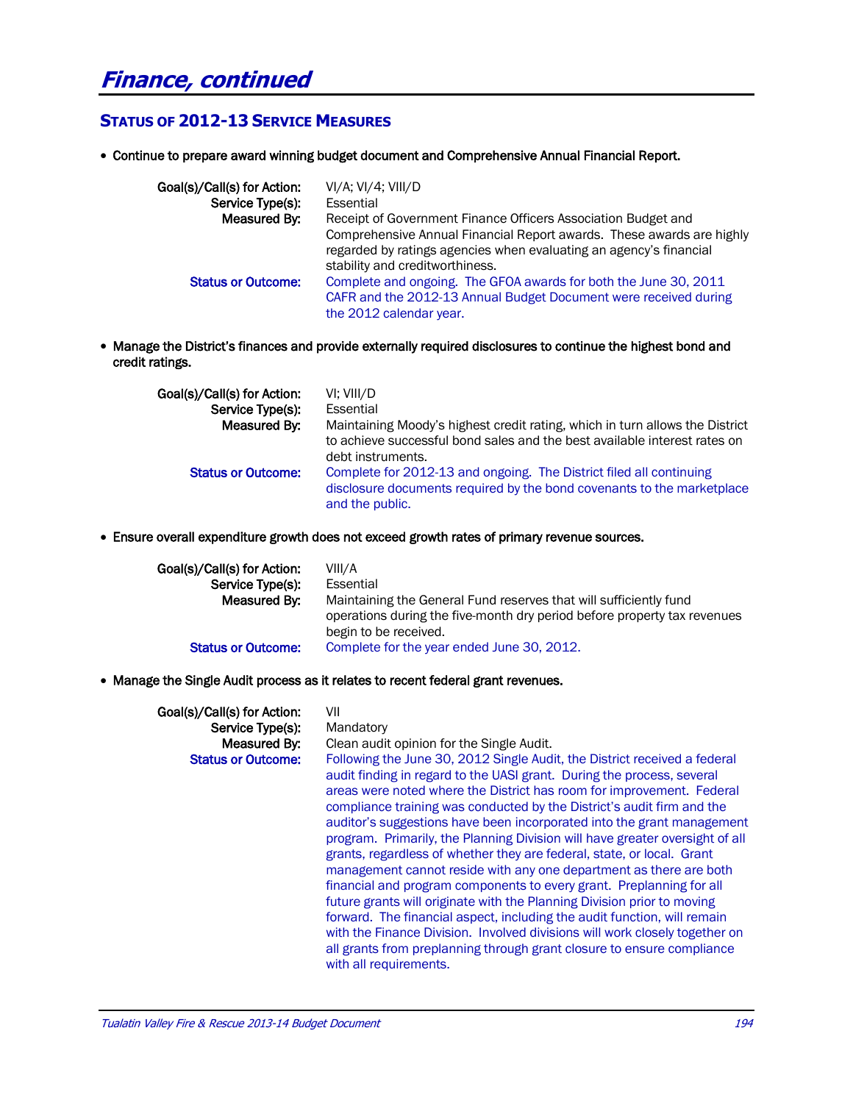## **Finance, continued**

#### **STATUS OF 2012-13 SERVICE MEASURES**

Continue to prepare award winning budget document and Comprehensive Annual Financial Report.

| Goal(s)/Call(s) for Action: | $VI/A$ ; $VI/4$ ; $VIII/D$                                                                                                                                                     |
|-----------------------------|--------------------------------------------------------------------------------------------------------------------------------------------------------------------------------|
| Service Type(s):            | Essential                                                                                                                                                                      |
| Measured By:                | Receipt of Government Finance Officers Association Budget and                                                                                                                  |
|                             | Comprehensive Annual Financial Report awards. These awards are highly<br>regarded by ratings agencies when evaluating an agency's financial<br>stability and creditworthiness. |
| <b>Status or Outcome:</b>   | Complete and ongoing. The GFOA awards for both the June 30, 2011<br>CAFR and the 2012-13 Annual Budget Document were received during<br>the 2012 calendar year.                |

 Manage the District's finances and provide externally required disclosures to continue the highest bond and credit ratings.

| Goal(s)/Call(s) for Action: | VI: VIII/D                                                                                                                                                                     |
|-----------------------------|--------------------------------------------------------------------------------------------------------------------------------------------------------------------------------|
| Service Type(s):            | Essential                                                                                                                                                                      |
| Measured By:                | Maintaining Moody's highest credit rating, which in turn allows the District<br>to achieve successful bond sales and the best available interest rates on<br>debt instruments. |
| <b>Status or Outcome:</b>   | Complete for 2012-13 and ongoing. The District filed all continuing<br>disclosure documents required by the bond covenants to the marketplace<br>and the public.               |

Ensure overall expenditure growth does not exceed growth rates of primary revenue sources.

| Goal(s)/Call(s) for Action: | VIII/A                                                                                                                                                                 |
|-----------------------------|------------------------------------------------------------------------------------------------------------------------------------------------------------------------|
| Service Type(s):            | Essential                                                                                                                                                              |
| Measured By:                | Maintaining the General Fund reserves that will sufficiently fund<br>operations during the five-month dry period before property tax revenues<br>begin to be received. |
| <b>Status or Outcome:</b>   | Complete for the year ended June 30, 2012.                                                                                                                             |

Manage the Single Audit process as it relates to recent federal grant revenues.

| Goal(s)/Call(s) for Action:<br>Service Type(s):<br>Measured By:<br><b>Status or Outcome:</b> | VII<br>Mandatory<br>Clean audit opinion for the Single Audit.<br>Following the June 30, 2012 Single Audit, the District received a federal<br>audit finding in regard to the UASI grant. During the process, several<br>areas were noted where the District has room for improvement. Federal<br>compliance training was conducted by the District's audit firm and the<br>auditor's suggestions have been incorporated into the grant management<br>program. Primarily, the Planning Division will have greater oversight of all<br>grants, regardless of whether they are federal, state, or local. Grant<br>management cannot reside with any one department as there are both<br>financial and program components to every grant. Preplanning for all<br>future grants will originate with the Planning Division prior to moving<br>forward. The financial aspect, including the audit function, will remain<br>with the Finance Division. Involved divisions will work closely together on |
|----------------------------------------------------------------------------------------------|-------------------------------------------------------------------------------------------------------------------------------------------------------------------------------------------------------------------------------------------------------------------------------------------------------------------------------------------------------------------------------------------------------------------------------------------------------------------------------------------------------------------------------------------------------------------------------------------------------------------------------------------------------------------------------------------------------------------------------------------------------------------------------------------------------------------------------------------------------------------------------------------------------------------------------------------------------------------------------------------------|
|                                                                                              | all grants from preplanning through grant closure to ensure compliance<br>with all requirements.                                                                                                                                                                                                                                                                                                                                                                                                                                                                                                                                                                                                                                                                                                                                                                                                                                                                                                |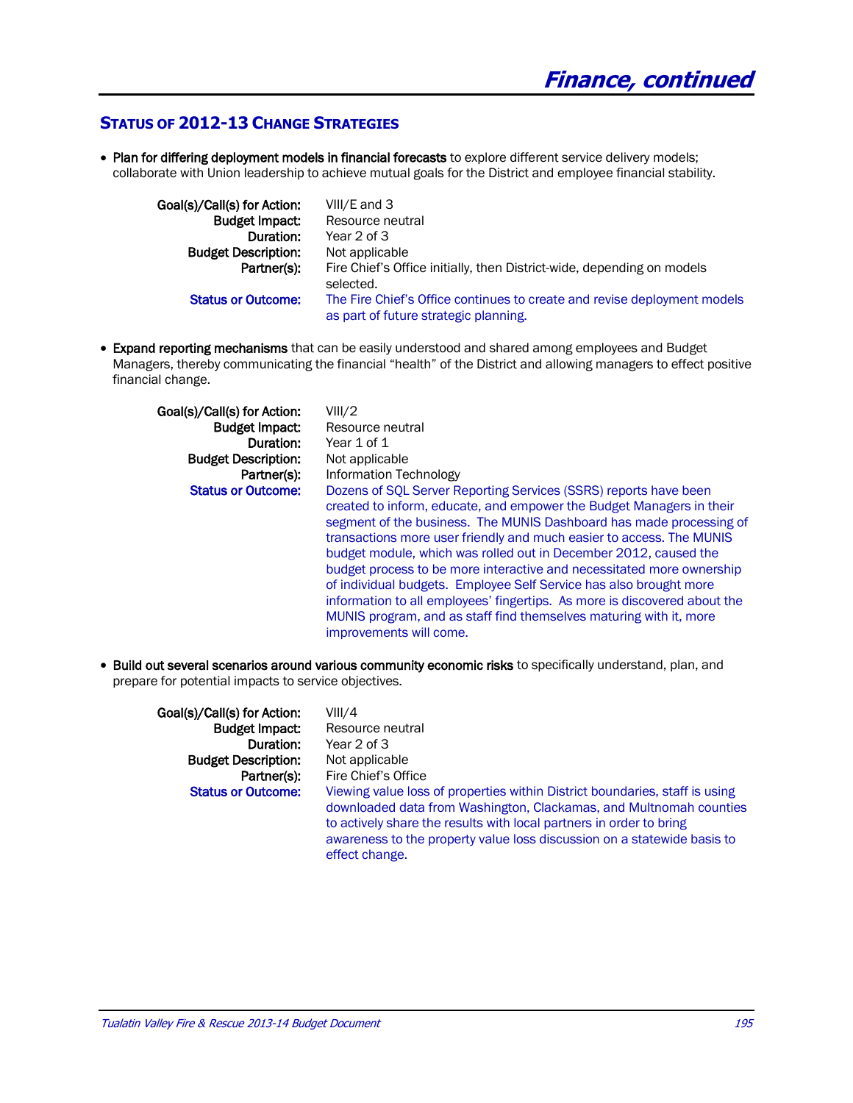#### **STATUS OF 2012-13 CHANGE STRATEGIES**

• Plan for differing deployment models in financial forecasts to explore different service delivery models; collaborate with Union leadership to achieve mutual goals for the District and employee financial stability.

| Goal(s)/Call(s) for Action: | VIII/E and 3                                                                                                      |
|-----------------------------|-------------------------------------------------------------------------------------------------------------------|
| <b>Budget Impact:</b>       | Resource neutral                                                                                                  |
| Duration:                   | Year 2 of 3                                                                                                       |
| <b>Budget Description:</b>  | Not applicable                                                                                                    |
| Partner(s):                 | Fire Chief's Office initially, then District-wide, depending on models<br>selected.                               |
| <b>Status or Outcome:</b>   | The Fire Chief's Office continues to create and revise deployment models<br>as part of future strategic planning. |

**Expand reporting mechanisms** that can be easily understood and shared among employees and Budget Managers, thereby communicating the financial "health" of the District and allowing managers to effect positive financial change.

| Goal(s)/Call(s) for Action: | VIII/2                                                                                                                                                                                                                                                                                                                                                                                                                                                                                                                                                                                                                                                                                   |
|-----------------------------|------------------------------------------------------------------------------------------------------------------------------------------------------------------------------------------------------------------------------------------------------------------------------------------------------------------------------------------------------------------------------------------------------------------------------------------------------------------------------------------------------------------------------------------------------------------------------------------------------------------------------------------------------------------------------------------|
| <b>Budget Impact.</b>       | Resource neutral                                                                                                                                                                                                                                                                                                                                                                                                                                                                                                                                                                                                                                                                         |
| Duration:                   | Year 1 of 1                                                                                                                                                                                                                                                                                                                                                                                                                                                                                                                                                                                                                                                                              |
| <b>Budget Description:</b>  | Not applicable                                                                                                                                                                                                                                                                                                                                                                                                                                                                                                                                                                                                                                                                           |
| Partner(s):                 | Information Technology                                                                                                                                                                                                                                                                                                                                                                                                                                                                                                                                                                                                                                                                   |
| <b>Status or Outcome:</b>   | Dozens of SOL Server Reporting Services (SSRS) reports have been<br>created to inform, educate, and empower the Budget Managers in their<br>segment of the business. The MUNIS Dashboard has made processing of<br>transactions more user friendly and much easier to access. The MUNIS<br>budget module, which was rolled out in December 2012, caused the<br>budget process to be more interactive and necessitated more ownership<br>of individual budgets. Employee Self Service has also brought more<br>information to all employees' fingertips. As more is discovered about the<br>MUNIS program, and as staff find themselves maturing with it, more<br>improvements will come. |

 Build out several scenarios around various community economic risks to specifically understand, plan, and prepare for potential impacts to service objectives.

| Goal(s)/Call(s) for Action: | VIII/4                                                                                                                                                                                                                                                                                                                |
|-----------------------------|-----------------------------------------------------------------------------------------------------------------------------------------------------------------------------------------------------------------------------------------------------------------------------------------------------------------------|
| <b>Budget Impact:</b>       | Resource neutral                                                                                                                                                                                                                                                                                                      |
| Duration:                   | Year 2 of 3                                                                                                                                                                                                                                                                                                           |
| <b>Budget Description:</b>  | Not applicable                                                                                                                                                                                                                                                                                                        |
| Partner(s):                 | Fire Chief's Office                                                                                                                                                                                                                                                                                                   |
| <b>Status or Outcome:</b>   | Viewing value loss of properties within District boundaries, staff is using<br>downloaded data from Washington, Clackamas, and Multnomah counties<br>to actively share the results with local partners in order to bring<br>awareness to the property value loss discussion on a statewide basis to<br>effect change. |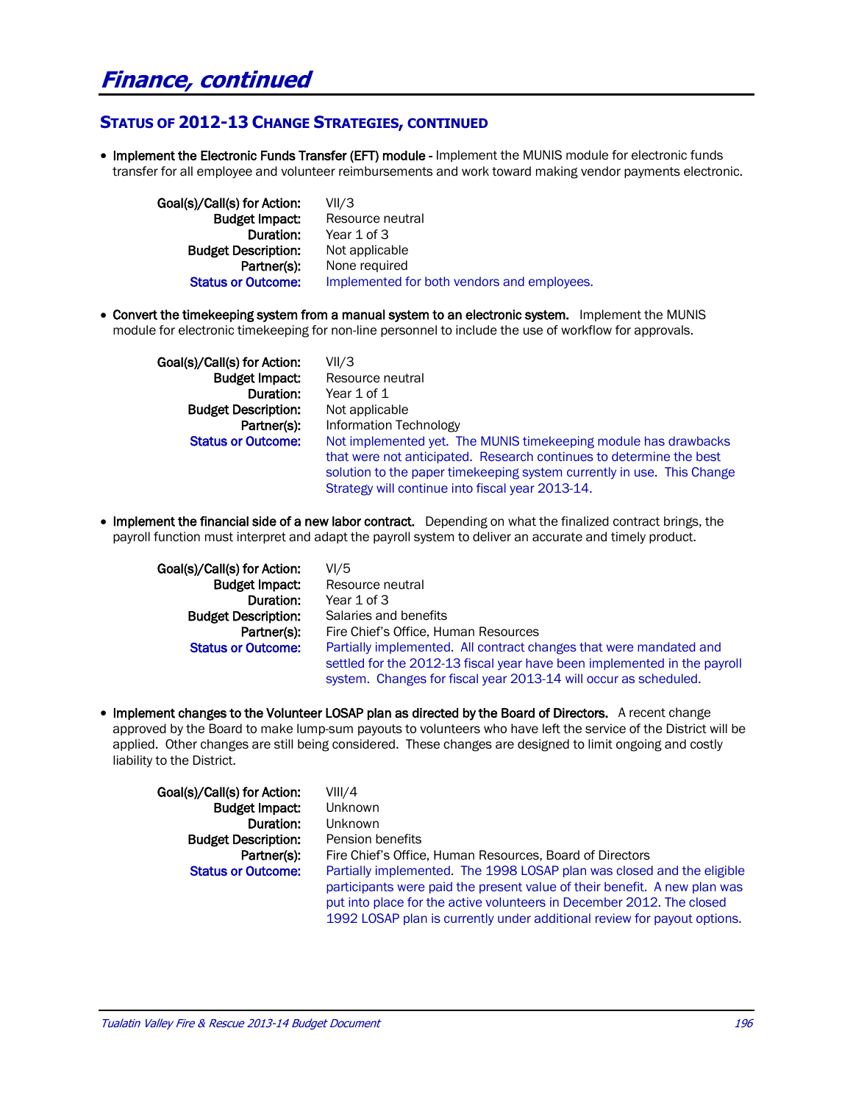#### **STATUS OF 2012-13 CHANGE STRATEGIES, CONTINUED**

• Implement the Electronic Funds Transfer (EFT) module - Implement the MUNIS module for electronic funds transfer for all employee and volunteer reimbursements and work toward making vendor payments electronic.

 Goal(s)/Call(s) for Action: VII/3 **Budget Impact:** Resource neutral Duration: Year 1 of 3 Budget Description: Not applicable Partner(s): None required Status or Outcome: Implemented for both vendors and employees.

 Convert the timekeeping system from a manual system to an electronic system. Implement the MUNIS module for electronic timekeeping for non-line personnel to include the use of workflow for approvals.

Goal(s)/Call(s) for Action: VII/3 **Budget Description:** Not applicable

**Budget Impact:** Resource neutral Duration: Year 1 of 1 Partner(s): Information Technology **Status or Outcome:** Not implemented yet. The MUNIS timekeeping module has drawbacks that were not anticipated. Research continues to determine the best solution to the paper timekeeping system currently in use. This Change Strategy will continue into fiscal year 2013-14.

• Implement the financial side of a new labor contract. Depending on what the finalized contract brings, the payroll function must interpret and adapt the payroll system to deliver an accurate and timely product.

Goal(s)/Call(s) for Action: VI/5

**Budget Impact:** Resource neutral Duration: Year 1 of 3 Budget Description: Salaries and benefits Partner(s): Fire Chief's Office, Human Resources **Status or Outcome:** Partially implemented. All contract changes that were mandated and settled for the 2012-13 fiscal year have been implemented in the payroll system. Changes for fiscal year 2013-14 will occur as scheduled.

• Implement changes to the Volunteer LOSAP plan as directed by the Board of Directors. A recent change approved by the Board to make lump-sum payouts to volunteers who have left the service of the District will be applied. Other changes are still being considered. These changes are designed to limit ongoing and costly liability to the District.

| Goal(s)/Call(s) for Action: | VIII/4                                                                    |
|-----------------------------|---------------------------------------------------------------------------|
| <b>Budget Impact:</b>       | <b>Unknown</b>                                                            |
| Duration:                   | Unknown                                                                   |
| <b>Budget Description:</b>  | Pension benefits                                                          |
| Partner(s):                 | Fire Chief's Office, Human Resources, Board of Directors                  |
| <b>Status or Outcome:</b>   | Partially implemented. The 1998 LOSAP plan was closed and the eligible    |
|                             | participants were paid the present value of their benefit. A new plan was |
|                             | put into place for the active volunteers in December 2012. The closed     |
|                             | 1992 LOSAP plan is currently under additional review for payout options.  |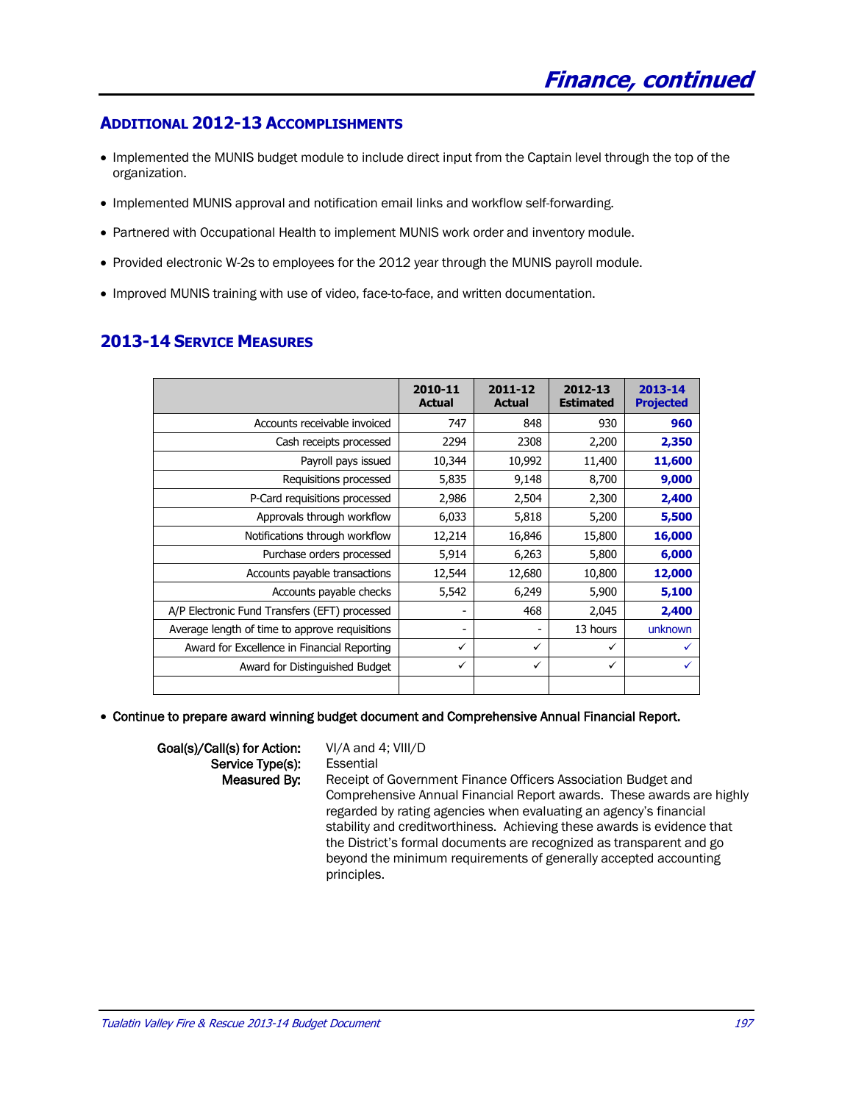#### **ADDITIONAL 2012-13 ACCOMPLISHMENTS**

- Implemented the MUNIS budget module to include direct input from the Captain level through the top of the organization.
- Implemented MUNIS approval and notification email links and workflow self-forwarding.
- Partnered with Occupational Health to implement MUNIS work order and inventory module.
- Provided electronic W-2s to employees for the 2012 year through the MUNIS payroll module.
- Improved MUNIS training with use of video, face-to-face, and written documentation.

#### **2010-11 Actual 2011-12 Actual 2012-13 Estimated 2013-14 Projected** Accounts receivable invoiced **747** 848 930 Cash receipts processed | 2294 | 2308 | 2,200 | 2,350 Payroll pays issued  $\begin{vmatrix} 10,344 & 10,992 & 11,400 \end{vmatrix}$  **11,600** Requisitions processed **6** 5,835 9,148 8,700 **9,000** P-Card requisitions processed **2,986** 2,504 2,300 **2,400** Approvals through workflow  $\begin{vmatrix} 6,033 & 5,818 & 5,200 \end{vmatrix}$  **5,500** Notifications through workflow  $\begin{vmatrix} 12,214 & 16,846 & 15,800 \end{vmatrix}$  **16,000** Purchase orders processed **5,914** 6,263 5,800 **6,000** Accounts payable transactions | 12,544 | 12,680 | 10,800 | 12,000 Accounts payable checks | 5,542 | 6,249 | 5,900 | 5,100 A/P Electronic Fund Transfers (EFT) processed |  $\overline{2,400}$ Average length of time to approve requisitions  $\begin{vmatrix} 1 & 1 & 13 & 100 \\ 1 & 13 & 100 & 100 \\ 0 & 0 & 0 & 100 \end{vmatrix}$ Award for Excellence in Financial Reporting  $\|\cdot\|$   $\|\cdot\|$   $\|\cdot\|$ Award for Distinguished Budget  $\begin{array}{c|c}\n\swarrow & \swarrow & \swarrow\n\end{array}$

#### **2013-14 SERVICE MEASURES**

Continue to prepare award winning budget document and Comprehensive Annual Financial Report.

Goal(s)/Call(s) for Action: VI/A and 4; VIII/D Service Type(s): Essential

Measured By: Receipt of Government Finance Officers Association Budget and Comprehensive Annual Financial Report awards. These awards are highly regarded by rating agencies when evaluating an agency's financial stability and creditworthiness. Achieving these awards is evidence that the District's formal documents are recognized as transparent and go beyond the minimum requirements of generally accepted accounting principles.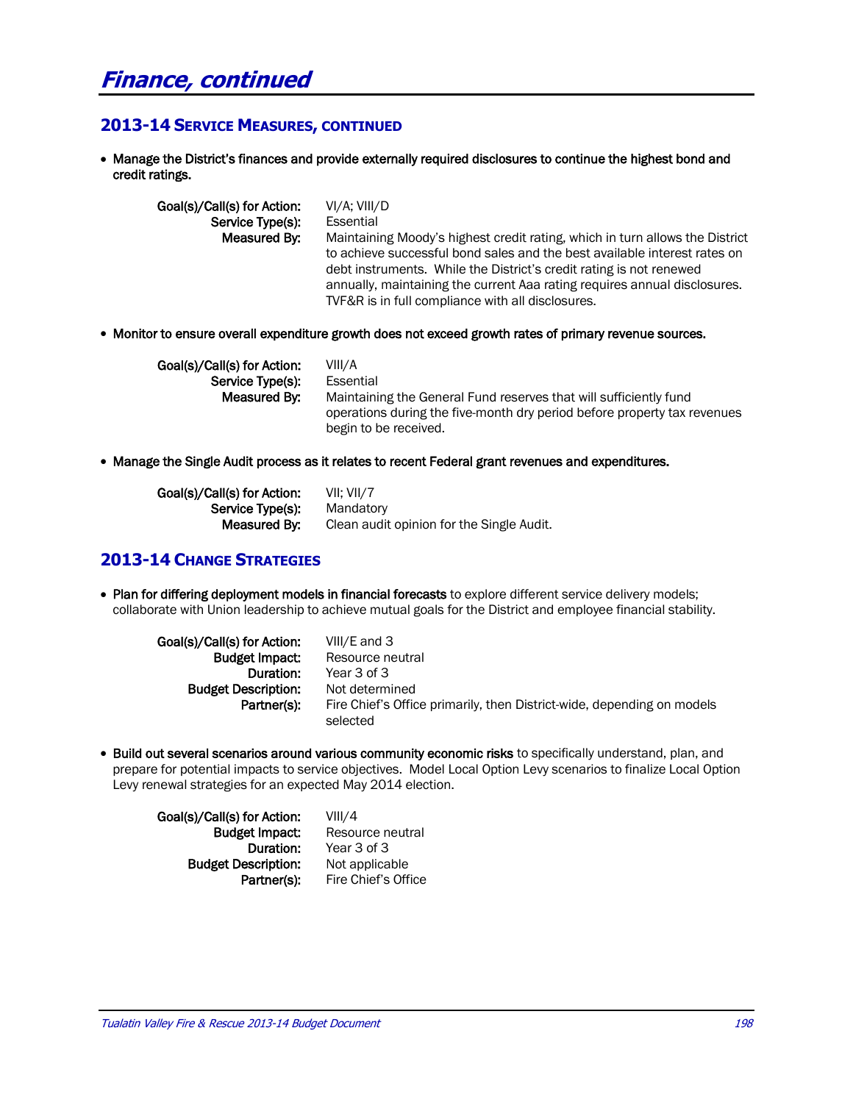## **Finance, continued**

#### **2013-14 SERVICE MEASURES, CONTINUED**

 Manage the District's finances and provide externally required disclosures to continue the highest bond and credit ratings.

| Goal(s)/Call(s) for Action: | VI/A: VIII/D                                                                 |
|-----------------------------|------------------------------------------------------------------------------|
| Service Type(s):            | Essential                                                                    |
| Measured By:                | Maintaining Moody's highest credit rating, which in turn allows the District |
|                             | to achieve successful bond sales and the best available interest rates on    |
|                             | debt instruments. While the District's credit rating is not renewed          |
|                             | annually, maintaining the current Aaa rating requires annual disclosures.    |
|                             | TVF&R is in full compliance with all disclosures.                            |

Monitor to ensure overall expenditure growth does not exceed growth rates of primary revenue sources.

| Goal(s)/Call(s) for Action: | VIII/A                                                                                                                                        |
|-----------------------------|-----------------------------------------------------------------------------------------------------------------------------------------------|
| Service Type(s):            | Essential                                                                                                                                     |
| Measured By:                | Maintaining the General Fund reserves that will sufficiently fund<br>operations during the five-month dry period before property tax revenues |
|                             | begin to be received.                                                                                                                         |

• Manage the Single Audit process as it relates to recent Federal grant revenues and expenditures.

| Goal(s)/Call(s) for Action: | VII: VII/7                                |
|-----------------------------|-------------------------------------------|
| Service Type(s):            | Mandatory                                 |
| Measured By:                | Clean audit opinion for the Single Audit. |

#### **2013-14 CHANGE STRATEGIES**

• Plan for differing deployment models in financial forecasts to explore different service delivery models; collaborate with Union leadership to achieve mutual goals for the District and employee financial stability.

| Goal(s)/Call(s) for Action: | VIII/E and 3                                                                       |
|-----------------------------|------------------------------------------------------------------------------------|
| <b>Budget Impact</b>        | Resource neutral                                                                   |
| Duration:                   | Year 3 of 3                                                                        |
| <b>Budget Description:</b>  | Not determined                                                                     |
| Partner(s):                 | Fire Chief's Office primarily, then District-wide, depending on models<br>selected |
|                             |                                                                                    |

 Build out several scenarios around various community economic risks to specifically understand, plan, and prepare for potential impacts to service objectives. Model Local Option Levy scenarios to finalize Local Option Levy renewal strategies for an expected May 2014 election.

| Goal(s)/Call(s) for Action: | VIII/4              |
|-----------------------------|---------------------|
| <b>Budget Impact:</b>       | Resource neutral    |
| Duration:                   | Year 3 of 3         |
| <b>Budget Description:</b>  | Not applicable      |
| Partner(s):                 | Fire Chief's Office |
|                             |                     |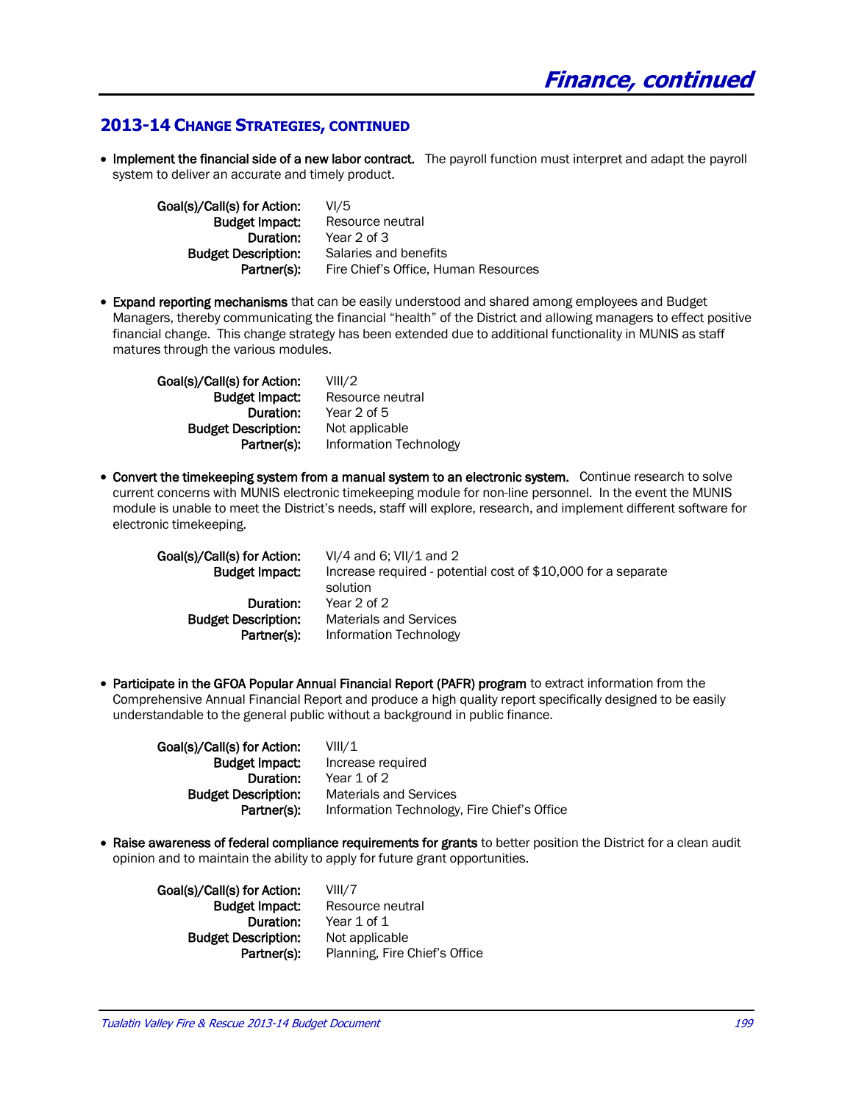#### **2013-14 CHANGE STRATEGIES, CONTINUED**

• Implement the financial side of a new labor contract. The payroll function must interpret and adapt the payroll system to deliver an accurate and timely product.

| Goal(s)/Call(s) for Action: | VI/5                                 |
|-----------------------------|--------------------------------------|
| <b>Budget Impact.</b>       | Resource neutral                     |
| Duration:                   | Year 2 of 3                          |
| <b>Budget Description:</b>  | Salaries and benefits                |
| Partner(s):                 | Fire Chief's Office, Human Resources |
|                             |                                      |

• Expand reporting mechanisms that can be easily understood and shared among employees and Budget Managers, thereby communicating the financial "health" of the District and allowing managers to effect positive financial change. This change strategy has been extended due to additional functionality in MUNIS as staff matures through the various modules.

Goal(s)/Call(s) for Action: VIII/2 Duration: Year 2 of 5 Budget Description: Not applicable

**Budget Impact:** Resource neutral Partner(s): Information Technology

• Convert the timekeeping system from a manual system to an electronic system. Continue research to solve current concerns with MUNIS electronic timekeeping module for non-line personnel. In the event the MUNIS module is unable to meet the District's needs, staff will explore, research, and implement different software for electronic timekeeping.

| Goal(s)/Call(s) for Action:                            | $VI/4$ and 6; $VII/1$ and 2                                                        |
|--------------------------------------------------------|------------------------------------------------------------------------------------|
| <b>Budget Impact</b>                                   | Increase required - potential cost of \$10,000 for a separate                      |
| Duration:<br><b>Budget Description:</b><br>Partner(s): | solution<br>Year 2 of 2<br><b>Materials and Services</b><br>Information Technology |

• Participate in the GFOA Popular Annual Financial Report (PAFR) program to extract information from the Comprehensive Annual Financial Report and produce a high quality report specifically designed to be easily understandable to the general public without a background in public finance.

Goal(s)/Call(s) for Action: VIII/1 Budget Impact: Increase required Duration: Year 1 of 2 Budget Description: Materials and Services Partner(s): Information Technology, Fire Chief's Office

• Raise awareness of federal compliance requirements for grants to better position the District for a clean audit opinion and to maintain the ability to apply for future grant opportunities.

Goal(s)/Call(s) for Action: VIII/7 **Budget Impact:** Resource neutral Duration: Year 1 of 1 Budget Description: Not applicable

Partner(s): Planning, Fire Chief's Office